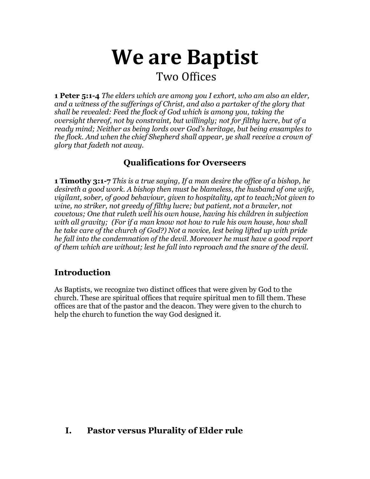# **We are Baptist**

# Two Offices

**1 Peter 5:1-4** *The elders which are among you I exhort, who am also an elder, and a witness of the sufferings of Christ, and also a partaker of the glory that shall be revealed: Feed the flock of God which is among you, taking the oversight thereof, not by constraint, but willingly; not for filthy lucre, but of a ready mind; Neither as being lords over God's heritage, but being ensamples to the flock. And when the chief Shepherd shall appear, ye shall receive a crown of glory that fadeth not away.*

## **Qualifications for Overseers**

**1 Timothy 3:1-7** *This is a true saying, If a man desire the office of a bishop, he desireth a good work. A bishop then must be blameless, the husband of one wife, vigilant, sober, of good behaviour, given to hospitality, apt to teach;Not given to wine, no striker, not greedy of filthy lucre; but patient, not a brawler, not covetous; One that ruleth well his own house, having his children in subjection with all gravity; (For if a man know not how to rule his own house, how shall he take care of the church of God?) Not a novice, lest being lifted up with pride he fall into the condemnation of the devil. Moreover he must have a good report of them which are without; lest he fall into reproach and the snare of the devil.*

## **Introduction**

As Baptists, we recognize two distinct offices that were given by God to the church. These are spiritual offices that require spiritual men to fill them. These offices are that of the pastor and the deacon. They were given to the church to help the church to function the way God designed it.

## **I. Pastor versus Plurality of Elder rule**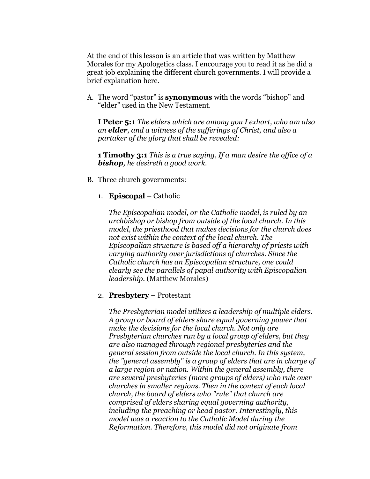At the end of this lesson is an article that was written by Matthew Morales for my Apologetics class. I encourage you to read it as he did a great job explaining the different church governments. I will provide a brief explanation here.

A. The word "pastor" is **synonymous** with the words "bishop" and "elder" used in the New Testament.

**I Peter 5:1** *The elders which are among you I exhort, who am also an elder, and a witness of the sufferings of Christ, and also a partaker of the glory that shall be revealed:*

**1 Timothy 3:1** *This is a true saying, If a man desire the office of a bishop, he desireth a good work.*

B. Three church governments:

#### 1. **Episcopal** – Catholic

*The Episcopalian model, or the Catholic model, is ruled by an archbishop or bishop from outside of the local church. In this model, the priesthood that makes decisions for the church does not exist within the context of the local church. The Episcopalian structure is based off a hierarchy of priests with varying authority over jurisdictions of churches. Since the Catholic church has an Episcopalian structure, one could clearly see the parallels of papal authority with Episcopalian leadership.* (Matthew Morales)

#### 2. **Presbytery** – Protestant

*The Presbyterian model utilizes a leadership of multiple elders. A group or board of elders share equal governing power that make the decisions for the local church. Not only are Presbyterian churches run by a local group of elders, but they are also managed through regional presbyteries and the general session from outside the local church. In this system, the "general assembly" is a group of elders that are in charge of a large region or nation. Within the general assembly, there are several presbyteries (more groups of elders) who rule over churches in smaller regions. Then in the context of each local church, the board of elders who "rule" that church are comprised of elders sharing equal governing authority, including the preaching or head pastor. Interestingly, this model was a reaction to the Catholic Model during the Reformation. Therefore, this model did not originate from*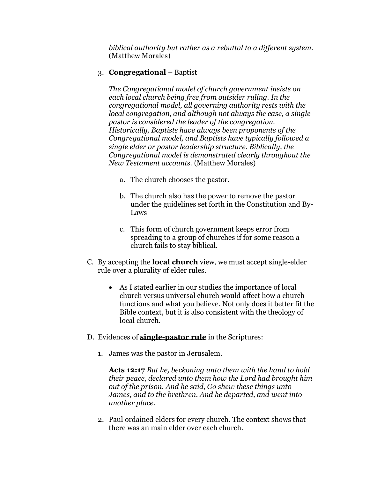*biblical authority but rather as a rebuttal to a different system.* (Matthew Morales)

#### 3. **Congregational** – Baptist

*The Congregational model of church government insists on each local church being free from outsider ruling. In the congregational model, all governing authority rests with the local congregation, and although not always the case, a single pastor is considered the leader of the congregation. Historically, Baptists have always been proponents of the Congregational model, and Baptists have typically followed a single elder or pastor leadership structure. Biblically, the Congregational model is demonstrated clearly throughout the New Testament accounts.* (Matthew Morales)

- a. The church chooses the pastor.
- b. The church also has the power to remove the pastor under the guidelines set forth in the Constitution and By-Laws
- c. This form of church government keeps error from spreading to a group of churches if for some reason a church fails to stay biblical.
- C. By accepting the **local church** view, we must accept single-elder rule over a plurality of elder rules.
	- As I stated earlier in our studies the importance of local church versus universal church would affect how a church functions and what you believe. Not only does it better fit the Bible context, but it is also consistent with the theology of local church.
- D. Evidences of **single-pastor rule** in the Scriptures:
	- 1. James was the pastor in Jerusalem.

**Acts 12:17** *But he, beckoning unto them with the hand to hold their peace, declared unto them how the Lord had brought him out of the prison. And he said, Go shew these things unto James, and to the brethren. And he departed, and went into another place.*

2. Paul ordained elders for every church. The context shows that there was an main elder over each church.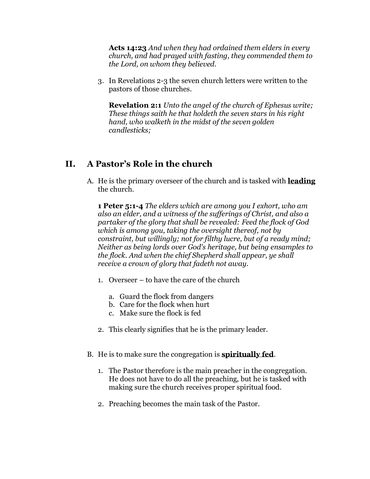**Acts 14:23** *And when they had ordained them elders in every church, and had prayed with fasting, they commended them to the Lord, on whom they believed.*

3. In Revelations 2-3 the seven church letters were written to the pastors of those churches.

**Revelation 2:1** *Unto the angel of the church of Ephesus write; These things saith he that holdeth the seven stars in his right hand, who walketh in the midst of the seven golden candlesticks;*

## **II. A Pastor's Role in the church**

A. He is the primary overseer of the church and is tasked with **leading**  the church.

**1 Peter 5:1-4** *The elders which are among you I exhort, who am also an elder, and a witness of the sufferings of Christ, and also a partaker of the glory that shall be revealed: Feed the flock of God which is among you, taking the oversight thereof, not by constraint, but willingly; not for filthy lucre, but of a ready mind; Neither as being lords over God's heritage, but being ensamples to the flock. And when the chief Shepherd shall appear, ye shall receive a crown of glory that fadeth not away.*

- 1. Overseer to have the care of the church
	- a. Guard the flock from dangers
	- b. Care for the flock when hurt
	- c. Make sure the flock is fed
- 2. This clearly signifies that he is the primary leader.
- B. He is to make sure the congregation is **spiritually fed**.
	- 1. The Pastor therefore is the main preacher in the congregation. He does not have to do all the preaching, but he is tasked with making sure the church receives proper spiritual food.
	- 2. Preaching becomes the main task of the Pastor.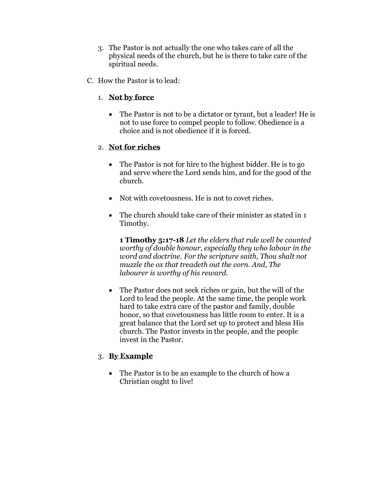- 3. The Pastor is not actually the one who takes care of all the physical needs of the church, but he is there to take care of the spiritual needs.
- C. How the Pastor is to lead:
	- 1. **Not by force**
		- The Pastor is not to be a dictator or tyrant, but a leader! He is not to use force to compel people to follow. Obedience is a choice and is not obedience if it is forced.

#### 2. **Not for riches**

- The Pastor is not for hire to the highest bidder. He is to go and serve where the Lord sends him, and for the good of the church.
- Not with covetousness. He is not to covet riches.
- The church should take care of their minister as stated in 1 Timothy.

**1 Timothy 5:17-18** *Let the elders that rule well be counted worthy of double honour, especially they who labour in the word and doctrine. For the scripture saith, Thou shalt not muzzle the ox that treadeth out the corn. And, The labourer is worthy of his reward.*

• The Pastor does not seek riches or gain, but the will of the Lord to lead the people. At the same time, the people work hard to take extra care of the pastor and family, double honor, so that covetousness has little room to enter. It is a great balance that the Lord set up to protect and bless His church. The Pastor invests in the people, and the people invest in the Pastor.

#### 3. **By Example**

• The Pastor is to be an example to the church of how a Christian ought to live!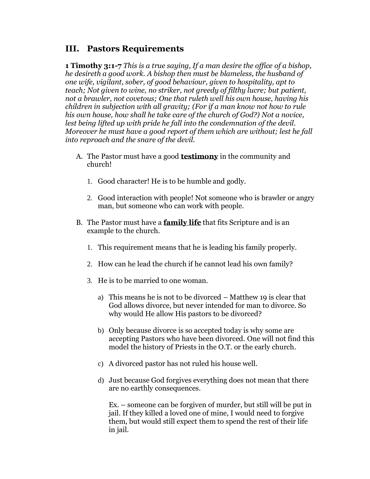### **III. Pastors Requirements**

**1 Timothy 3:1-7** *This is a true saying, If a man desire the office of a bishop, he desireth a good work. A bishop then must be blameless, the husband of one wife, vigilant, sober, of good behaviour, given to hospitality, apt to teach; Not given to wine, no striker, not greedy of filthy lucre; but patient, not a brawler, not covetous; One that ruleth well his own house, having his children in subjection with all gravity; (For if a man know not how to rule his own house, how shall he take care of the church of God?) Not a novice, lest being lifted up with pride he fall into the condemnation of the devil. Moreover he must have a good report of them which are without; lest he fall into reproach and the snare of the devil.*

- A. The Pastor must have a good **testimony** in the community and church!
	- 1. Good character! He is to be humble and godly.
	- 2. Good interaction with people! Not someone who is brawler or angry man, but someone who can work with people.
- B. The Pastor must have a **family life** that fits Scripture and is an example to the church.
	- 1. This requirement means that he is leading his family properly.
	- 2. How can he lead the church if he cannot lead his own family?
	- 3. He is to be married to one woman.
		- a) This means he is not to be divorced Matthew 19 is clear that God allows divorce, but never intended for man to divorce. So why would He allow His pastors to be divorced?
		- b) Only because divorce is so accepted today is why some are accepting Pastors who have been divorced. One will not find this model the history of Priests in the O.T. or the early church.
		- c) A divorced pastor has not ruled his house well.
		- d) Just because God forgives everything does not mean that there are no earthly consequences.

Ex. – someone can be forgiven of murder, but still will be put in jail. If they killed a loved one of mine, I would need to forgive them, but would still expect them to spend the rest of their life in jail.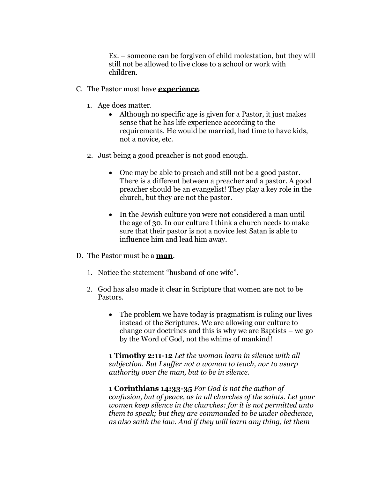Ex. – someone can be forgiven of child molestation, but they will still not be allowed to live close to a school or work with children.

- C. The Pastor must have **experience**.
	- 1. Age does matter.
		- Although no specific age is given for a Pastor, it just makes sense that he has life experience according to the requirements. He would be married, had time to have kids, not a novice, etc.
	- 2. Just being a good preacher is not good enough.
		- One may be able to preach and still not be a good pastor. There is a different between a preacher and a pastor. A good preacher should be an evangelist! They play a key role in the church, but they are not the pastor.
		- In the Jewish culture you were not considered a man until the age of 30. In our culture I think a church needs to make sure that their pastor is not a novice lest Satan is able to influence him and lead him away.
- D. The Pastor must be a **man**.
	- 1. Notice the statement "husband of one wife".
	- 2. God has also made it clear in Scripture that women are not to be Pastors.
		- The problem we have today is pragmatism is ruling our lives instead of the Scriptures. We are allowing our culture to change our doctrines and this is why we are Baptists – we go by the Word of God, not the whims of mankind!

**1 Timothy 2:11-12** *Let the woman learn in silence with all subjection. But I suffer not a woman to teach, nor to usurp authority over the man, but to be in silence.*

**1 Corinthians 14:33-35** *For God is not the author of confusion, but of peace, as in all churches of the saints. Let your women keep silence in the churches: for it is not permitted unto them to speak; but they are commanded to be under obedience, as also saith the law. And if they will learn any thing, let them*